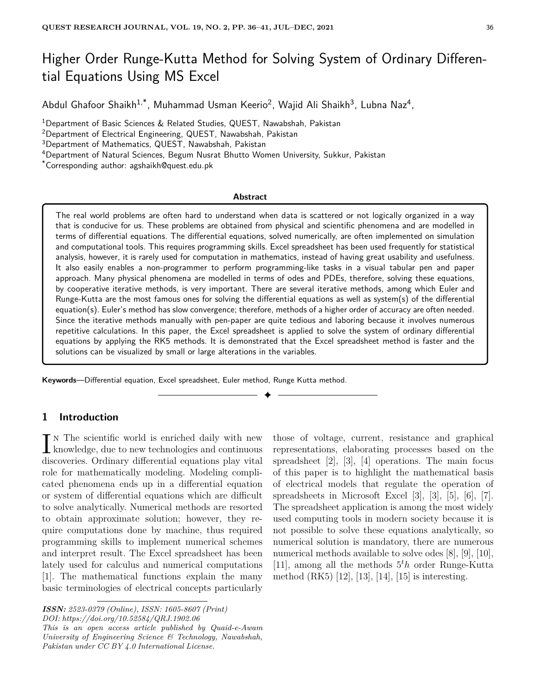# Higher Order Runge-Kutta Method for Solving System of Ordinary Differential Equations Using MS Excel

Abdul Ghafoor Shaikh<sup>1,\*</sup>, Muhammad Usman Keerio<sup>2</sup>, Wajid Ali Shaikh<sup>3</sup>, Lubna Naz<sup>4</sup>,

<sup>1</sup>Department of Basic Sciences & Related Studies, QUEST, Nawabshah, Pakistan

<sup>2</sup>Department of Electrical Engineering, QUEST, Nawabshah, Pakistan

<sup>3</sup>Department of Mathematics, QUEST, Nawabshah, Pakistan

<sup>4</sup>Department of Natural Sciences, Begum Nusrat Bhutto Women University, Sukkur, Pakistan

\*Corresponding author: agshaikh@quest.edu.pk

#### **Abstract**

The real world problems are often hard to understand when data is scattered or not logically organized in a way that is conducive for us. These problems are obtained from physical and scientific phenomena and are modelled in terms of differential equations. The differential equations, solved numerically, are often implemented on simulation and computational tools. This requires programming skills. Excel spreadsheet has been used frequently for statistical analysis, however, it is rarely used for computation in mathematics, instead of having great usability and usefulness. It also easily enables a non-programmer to perform programming-like tasks in a visual tabular pen and paper approach. Many physical phenomena are modelled in terms of odes and PDEs, therefore, solving these equations, by cooperative iterative methods, is very important. There are several iterative methods, among which Euler and Runge-Kutta are the most famous ones for solving the differential equations as well as system(s) of the differential equation(s). Euler's method has slow convergence; therefore, methods of a higher order of accuracy are often needed. Since the iterative methods manually with pen-paper are quite tedious and laboring because it involves numerous repetitive calculations. In this paper, the Excel spreadsheet is applied to solve the system of ordinary differential equations by applying the RK5 methods. It is demonstrated that the Excel spreadsheet method is faster and the solutions can be visualized by small or large alterations in the variables.

✦

**Keywords**—Differential equation, Excel spreadsheet, Euler method, Runge Kutta method.

# **1 Introduction**

 $\prod_{k}$  N The scientific world is enriched daily with new knowledge, due to new technologies and continuous knowledge, due to new technologies and continuous discoveries. Ordinary differential equations play vital role for mathematically modeling. Modeling complicated phenomena ends up in a differential equation or system of differential equations which are difficult to solve analytically. Numerical methods are resorted to obtain approximate solution; however, they require computations done by machine, thus required programming skills to implement numerical schemes and interpret result. The Excel spreadsheet has been lately used for calculus and numerical computations [1]. The mathematical functions explain the many basic terminologies of electrical concepts particularly

*ISSN: 2523-0379 (Online), ISSN: 1605-8607 (Print) DOI: https://doi.org/10.52584/QRJ.1902.06*

*This is an open access article published by Quaid-e-Awam University of Engineering Science & Technology, Nawabshah, Pakistan under CC BY 4.0 International License.*

those of voltage, current, resistance and graphical representations, elaborating processes based on the spreadsheet [2], [3], [4] operations. The main focus of this paper is to highlight the mathematical basis of electrical models that regulate the operation of spreadsheets in Microsoft Excel [3], [3], [5], [6], [7]. The spreadsheet application is among the most widely used computing tools in modern society because it is not possible to solve these equations analytically, so numerical solution is mandatory, there are numerous numerical methods available to solve odes [8], [9], [10], [11], among all the methods 5*<sup>t</sup>h* order Runge-Kutta method (RK5) [12], [13], [14], [15] is interesting.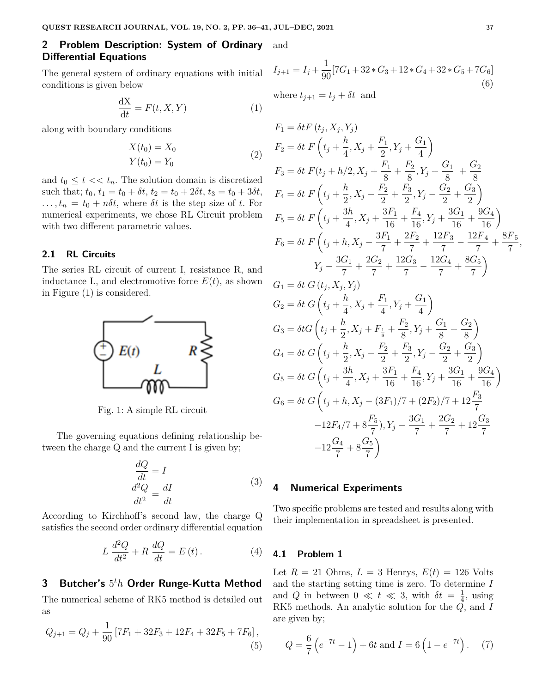# **2 Problem Description: System of Ordinary** and **Differential Equations**

The general system of ordinary equations with initial conditions is given below

$$
\frac{\mathrm{dX}}{\mathrm{d}t} = F(t, X, Y) \tag{1}
$$

along with boundary conditions

$$
X(t_0) = X_0
$$
  
\n
$$
Y(t_0) = Y_0
$$
\n(2)

and  $t_0 \leq t \ll t_n$ . The solution domain is discretized such that;  $t_0$ ,  $t_1 = t_0 + \delta t$ ,  $t_2 = t_0 + 2\delta t$ ,  $t_3 = t_0 + 3\delta t$ ,  $\ldots$ ,  $t_n = t_0 + n\delta t$ , where  $\delta t$  is the step size of *t*. For numerical experiments, we chose RL Circuit problem with two different parametric values.

### **2.1 RL Circuits**

The series RL circuit of current I, resistance R, and inductance L, and electromotive force  $E(t)$ , as shown in Figure (1) is considered.



Fig. 1: A simple RL circuit

The governing equations defining relationship between the charge Q and the current I is given by;

$$
\frac{dQ}{dt} = I
$$
  

$$
\frac{d^2Q}{dt^2} = \frac{dI}{dt}
$$
 (3)

According to Kirchhoff's second law, the charge Q satisfies the second order ordinary differential equation

$$
L\frac{d^2Q}{dt^2} + R\frac{dQ}{dt} = E(t).
$$
 (4)

# **3 Butcher's** 5 *<sup>t</sup>h* **Order Runge-Kutta Method**

The numerical scheme of RK5 method is detailed out as

$$
Q_{j+1} = Q_j + \frac{1}{90} \left[ 7F_1 + 32F_3 + 12F_4 + 32F_5 + 7F_6 \right],\tag{5}
$$

$$
I_{j+1} = I_j + \frac{1}{90} [7G_1 + 32 * G_3 + 12 * G_4 + 32 * G_5 + 7G_6]
$$
\n
$$
(6)
$$

where  $t_{j+1} = t_j + \delta t$  and

$$
F_1 = \delta t F(t_j, X_j, Y_j)
$$
  
\n
$$
F_2 = \delta t F(t_j + \frac{h}{4}, X_j + \frac{F_1}{2}, Y_j + \frac{G_1}{4})
$$
  
\n
$$
F_3 = \delta t F(t_j + h/2, X_j + \frac{F_1}{8} + \frac{F_2}{8}, Y_j + \frac{G_1}{8} + \frac{G_2}{8}
$$
  
\n
$$
F_4 = \delta t F(t_j + \frac{h}{2}, X_j - \frac{F_2}{2} + \frac{F_3}{2}, Y_j - \frac{G_2}{2} + \frac{G_3}{2})
$$
  
\n
$$
F_5 = \delta t F(t_j + \frac{3h}{4}, X_j + \frac{3F_1}{16} + \frac{F_4}{16}, Y_j + \frac{3G_1}{16} + \frac{9G_4}{16})
$$
  
\n
$$
F_6 = \delta t F(t_j + h, X_j - \frac{3F_1}{7} + \frac{2F_2}{7} + \frac{12F_3}{7} - \frac{12F_4}{7} + \frac{8F_5}{7},
$$
  
\n
$$
Y_j - \frac{3G_1}{7} + \frac{2G_2}{7} + \frac{12G_3}{7} - \frac{12G_4}{7} + \frac{8G_5}{7})
$$
  
\n
$$
G_1 = \delta t G(t_j, X_j, Y_j)
$$
  
\n
$$
G_2 = \delta t G(t_j + \frac{h}{4}, X_j + \frac{F_1}{4}, Y_j + \frac{G_1}{4})
$$
  
\n
$$
G_3 = \delta t G(t_j + \frac{h}{2}, X_j + F_{\frac{1}{8}} + \frac{F_2}{8}, Y_j + \frac{G_1}{8} + \frac{G_2}{8})
$$
  
\n
$$
G_4 = \delta t G(t_j + \frac{h}{2}, X_j - \frac{F_2}{2} + \frac{F_3}{2}, Y_j - \frac{G_2}{2} + \frac{G_3}{2})
$$
  
\n
$$
G_5 = \delta t G(t_j + \frac{3h}{4}, X_j + \frac{3F_1}{16} + \frac{F_4}{16}, Y_j + \frac{3G_1}{16} + \frac{9G_4
$$

$$
G_6 = \delta t \ G \left( t_j + h, X_j - (3F_1)/7 + (2F_2)/7 + 12 \frac{F_3}{7} -12F_4/7 + 8 \frac{F_5}{7}), Y_j - \frac{3G_1}{7} + \frac{2G_2}{7} + 12 \frac{G_3}{7} -12 \frac{G_4}{7} + 8 \frac{G_5}{7} \right)
$$

# **4 Numerical Experiments**

Two specific problems are tested and results along with their implementation in spreadsheet is presented.

### **4.1 Problem 1**

Let  $R = 21$  Ohms,  $L = 3$  Henrys,  $E(t) = 126$  Volts and the starting setting time is zero. To determine *I* and *Q* in between  $0 \ll t \ll 3$ , with  $\delta t = \frac{1}{4}$  $\frac{1}{4}$ , using RK5 methods. An analytic solution for the *Q*, and *I* are given by;

$$
Q = \frac{6}{7} \left( e^{-7t} - 1 \right) + 6t \text{ and } I = 6 \left( 1 - e^{-7t} \right). \tag{7}
$$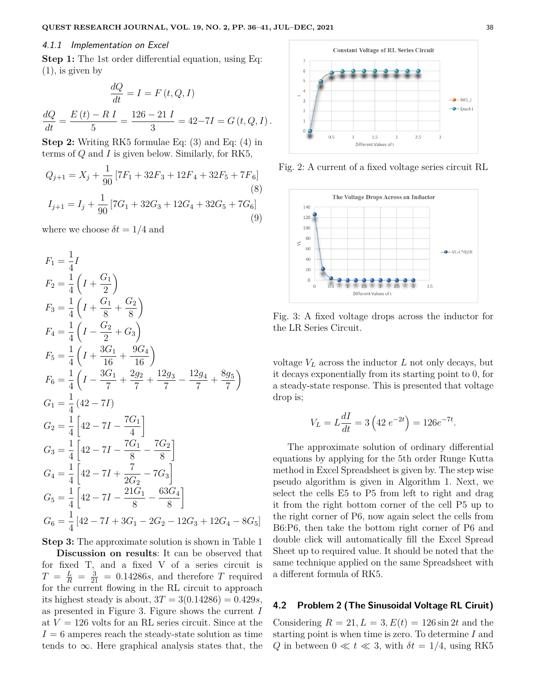#### 4.1.1 Implementation on Excel

**Step 1:** The 1st order differential equation, using Eq.  $(1)$ , is given by

$$
\frac{dQ}{dt} = I = F(t, Q, I)
$$

$$
\frac{dQ}{dt} = \frac{E(t) - R I}{5} = \frac{126 - 21 I}{3} = 42 - 7I = G(t, Q, I).
$$

**Step 2:** Writing RK5 formulae Eq: (3) and Eq: (4) in terms of *Q* and *I* is given below. Similarly, for RK5,

$$
Q_{j+1} = X_j + \frac{1}{90} \left[ 7F_1 + 32F_3 + 12F_4 + 32F_5 + 7F_6 \right]
$$
\n
$$
(8)
$$
\n
$$
I_{j+1} = I_j + \frac{1}{90} \left[ 7G_1 + 32G_3 + 12G_4 + 32G_5 + 7G_6 \right]
$$
\n
$$
(9)
$$

where we choose  $\delta t = 1/4$  and

$$
F_1 = \frac{1}{4}I
$$
  
\n
$$
F_2 = \frac{1}{4}\left(I + \frac{G_1}{2}\right)
$$
  
\n
$$
F_3 = \frac{1}{4}\left(I + \frac{G_1}{8} + \frac{G_2}{8}\right)
$$
  
\n
$$
F_4 = \frac{1}{4}\left(I - \frac{G_2}{2} + G_3\right)
$$
  
\n
$$
F_5 = \frac{1}{4}\left(I + \frac{3G_1}{16} + \frac{9G_4}{16}\right)
$$
  
\n
$$
F_6 = \frac{1}{4}\left(I - \frac{3G_1}{7} + \frac{2g_2}{7} + \frac{12g_3}{7} - \frac{12g_4}{7} + \frac{8g_5}{7}\right)
$$
  
\n
$$
G_1 = \frac{1}{4}\left(42 - 7I\right)
$$
  
\n
$$
G_2 = \frac{1}{4}\left[42 - 7I - \frac{7G_1}{4}\right]
$$
  
\n
$$
G_3 = \frac{1}{4}\left[42 - 7I - \frac{7G_1}{8} - \frac{7G_2}{8}\right]
$$
  
\n
$$
G_4 = \frac{1}{4}\left[42 - 7I + \frac{7}{2G_2} - 7G_3\right]
$$
  
\n
$$
G_5 = \frac{1}{4}\left[42 - 7I - \frac{21G_1}{8} - \frac{63G_4}{8}\right]
$$
  
\n
$$
G_6 = \frac{1}{4}\left[42 - 7I + 3G_1 - 2G_2 - 12G_3 + 12G_4 - 8G_5\right]
$$

**Step 3:** The approximate solution is shown in Table 1 **Discussion on results**: It can be observed that for fixed T, and a fixed V of a series circuit is  $T = \frac{L}{R} = \frac{3}{21} = 0.14286s$ , and therefore *T* required for the current flowing in the RL circuit to approach its highest steady is about,  $3T = 3(0.14286) = 0.429s$ , as presented in Figure 3. Figure shows the current *I* at  $V = 126$  volts for an RL series circuit. Since at the  $I = 6$  amperes reach the steady-state solution as time tends to  $\infty$ . Here graphical analysis states that, the

**Constant Voltage of RL Series Circuit**  $\overline{7}$ 6 5  $\overline{A}$  $\overline{3}$  $RK5$  $\bullet$  Exacti  $\overline{2}$  $\mathbf{1}$  $\circ$  $0.5$  $1.5$ 2.5 Different Values of t

Fig. 2: A current of a fixed voltage series circuit RL



Fig. 3: A fixed voltage drops across the inductor for the LR Series Circuit.

voltage  $V_L$  across the inductor  $L$  not only decays, but it decays exponentially from its starting point to 0, for a steady-state response. This is presented that voltage drop is;

$$
V_L = L\frac{dI}{dt} = 3\left(42 \ e^{-2t}\right) = 126 e^{-7t}
$$

*.*

The approximate solution of ordinary differential equations by applying for the 5th order Runge Kutta method in Excel Spreadsheet is given by. The step wise pseudo algorithm is given in Algorithm 1. Next, we select the cells E5 to P5 from left to right and drag it from the right bottom corner of the cell P5 up to the right corner of P6, now again select the cells from B6:P6, then take the bottom right corner of P6 and double click will automatically fill the Excel Spread Sheet up to required value. It should be noted that the same technique applied on the same Spreadsheet with a different formula of RK5.

# **4.2 Problem 2 (The Sinusoidal Voltage RL Ciruit)**

Considering  $R = 21, L = 3, E(t) = 126 \sin 2t$  and the starting point is when time is zero. To determine *I* and *Q* in between  $0 \ll t \ll 3$ , with  $\delta t = 1/4$ , using RK5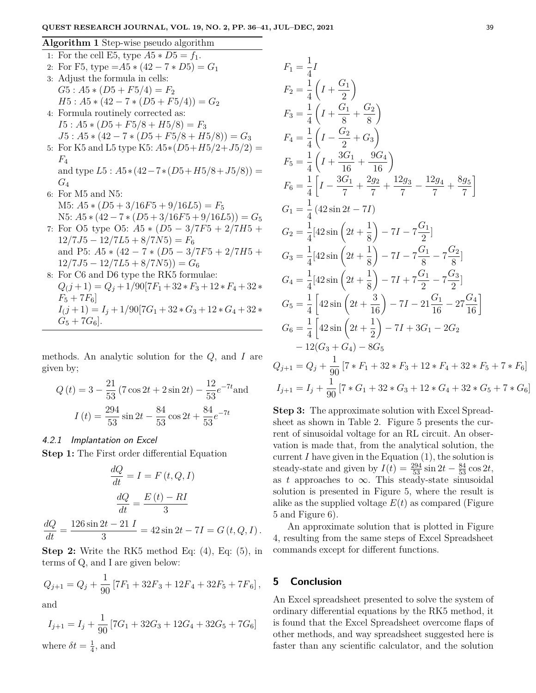#### **Algorithm 1** Step-wise pseudo algorithm

1: For the cell E5, type  $A5 * D5 = f_1$ . 2: For F5, type  $=A5 * (42 - 7 * D5) = G_1$ 3: Adjust the formula in cells:  $G5: A5 * (D5 + F5/4) = F_2$  $H5: A5 * (42 - 7 * (D5 + F5/4)) = G_2$ 4: Formula routinely corrected as:  $I5: A5 * (D5 + F5/8 + H5/8) = F_3$  $J5: A5 * (42 - 7 * (D5 + F5/8 + H5/8)) = G_3$ 5: For K5 and L5 type K5:  $A5*(D5+H5/2+J5/2)$  = *F*4 and type  $L5: A5*(42-7*(D5+H5/8+J5/8)) =$ *G*<sup>4</sup> 6: For M5 and N5:  $M5: A5 * (D5 + 3/16F5 + 9/16L5) = F_5$  $N5: A5 * (42 - 7 * (D5 + 3/16F5 + 9/16L5)) = G_5$ 7: For O5 type O5: *A*5 ∗ (*D*5 − 3*/*7*F*5 + 2*/*7*H*5 +  $12/7J5 - 12/7L5 + 8/7N5$ ) =  $F_6$ and P5: *A*5 ∗ (42 − 7 ∗ (*D*5 − 3*/*7*F*5 + 2*/*7*H*5 +  $12/7J5 - 12/7L5 + 8/7N5$ ) =  $G_6$ 8: For C6 and D6 type the RK5 formulae:  $Q(j+1) = Q_j + 1/90[7F_1 + 32*F_3 + 12*F_4 + 32*$  $F_5 + 7F_6$ 

$$
I(j+1) = I_j + 1/90[7G_1 + 32 * G_3 + 12 * G_4 + 32 *
$$
  

$$
G_5 + 7G_6].
$$

methods. An analytic solution for the *Q*, and *I* are given by;

$$
Q(t) = 3 - \frac{21}{53} (7 \cos 2t + 2 \sin 2t) - \frac{12}{53} e^{-7t} \text{ and}
$$

$$
I(t) = \frac{294}{53} \sin 2t - \frac{84}{53} \cos 2t + \frac{84}{53} e^{-7t}
$$

#### 4.2.1 Implantation on Excel

**Step 1:** The First order differential Equation

$$
\frac{dQ}{dt} = I = F(t, Q, I)
$$

$$
\frac{dQ}{dt} = \frac{E(t) - RI}{3}
$$

$$
\frac{dQ}{dt} = \frac{126 \sin 2t - 21 I}{3} = 42 \sin 2t - 7I = G(t, Q, I).
$$

**Step 2:** Write the RK5 method Eq: (4), Eq: (5), in terms of Q, and I are given below:

$$
Q_{j+1} = Q_j + \frac{1}{90} \left[ 7F_1 + 32F_3 + 12F_4 + 32F_5 + 7F_6 \right],
$$

and

$$
I_{j+1} = I_j + \frac{1}{90} [7G_1 + 32G_3 + 12G_4 + 32G_5 + 7G_6]
$$
  
where  $\delta t = \frac{1}{4}$ , and

$$
F_1 = \frac{1}{4}I
$$
  
\n
$$
F_2 = \frac{1}{4}\left(I + \frac{G_1}{2}\right)
$$
  
\n
$$
F_3 = \frac{1}{4}\left(I + \frac{G_1}{8} + \frac{G_2}{8}\right)
$$
  
\n
$$
F_4 = \frac{1}{4}\left(I - \frac{G_2}{2} + G_3\right)
$$
  
\n
$$
F_5 = \frac{1}{4}\left(I + \frac{3G_1}{16} + \frac{9G_4}{16}\right)
$$
  
\n
$$
F_6 = \frac{1}{4}\left[I - \frac{3G_1}{7} + \frac{2g_2}{7} + \frac{12g_3}{7} - \frac{12g_4}{7} + \frac{8g_5}{7}\right]
$$
  
\n
$$
G_1 = \frac{1}{4}\left(42\sin 2t - 7I\right)
$$
  
\n
$$
G_2 = \frac{1}{4}\left[42\sin\left(2t + \frac{1}{8}\right) - 7I - 7\frac{G_1}{8} - 7\frac{G_2}{8}\right]
$$
  
\n
$$
G_3 = \frac{1}{4}\left[42\sin\left(2t + \frac{1}{8}\right) - 7I + 7\frac{G_1}{2} - 7\frac{G_3}{2}\right]
$$
  
\n
$$
G_4 = \frac{1}{4}\left[42\sin\left(2t + \frac{1}{8}\right) - 7I + 7\frac{G_1}{2} - 7\frac{G_3}{2}\right]
$$
  
\n
$$
G_5 = \frac{1}{4}\left[42\sin\left(2t + \frac{3}{16}\right) - 7I - 21\frac{G_1}{16} - 27\frac{G_4}{16}\right]
$$
  
\n
$$
G_6 = \frac{1}{4}\left[42\sin\left(2t + \frac{1}{2}\right) - 7I + 3G_1 - 2G_2 - 12(G_3 + G_4) - 8G_5
$$
  
\n
$$
Q_{j+1} = Q_j + \frac{1}{90}\left[7 * F_1 + 32 * F_3 + 12 * F_4 + 32 * F_5 + 7 * F_6\right]
$$
  
\n

**Step 3:** The approximate solution with Excel Spreadsheet as shown in Table 2. Figure 5 presents the current of sinusoidal voltage for an RL circuit. An observation is made that, from the analytical solution, the current  $I$  have given in the Equation  $(1)$ , the solution is steady-state and given by  $I(t) = \frac{294}{53} \sin 2t - \frac{84}{53} \cos 2t$ , as  $t$  approaches to  $\infty$ . This steady-state sinusoidal solution is presented in Figure 5, where the result is alike as the supplied voltage *E*(*t*) as compared (Figure 5 and Figure 6).

An approximate solution that is plotted in Figure 4, resulting from the same steps of Excel Spreadsheet commands except for different functions.

## **5 Conclusion**

An Excel spreadsheet presented to solve the system of ordinary differential equations by the RK5 method, it is found that the Excel Spreadsheet overcome flaps of other methods, and way spreadsheet suggested here is faster than any scientific calculator, and the solution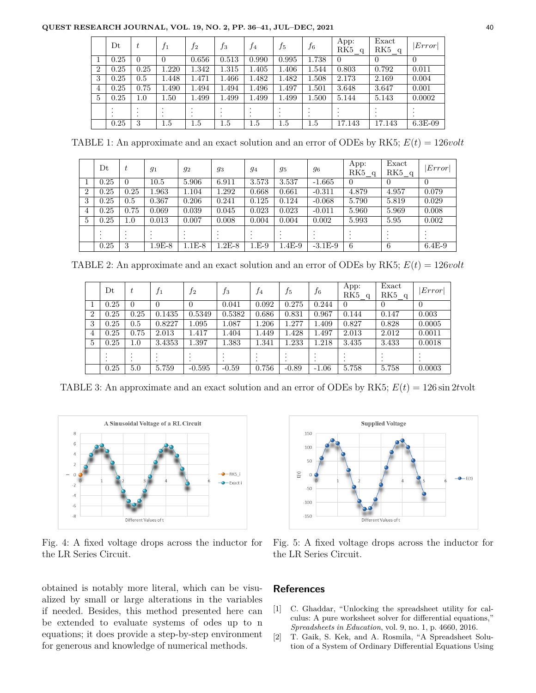#### **QUEST RESEARCH JOURNAL, VOL. 19, NO. 2, PP. 36–41, JUL–DEC, 2021** 40

|                | $_{\rm Dt}$          | t                  | $f_1$    | f <sub>2</sub>                | $f_3$    | f4                                | $f_5$                       | $f_{6}$            | App:<br>RK5<br>$\alpha$ | Exact<br>RK5 q | Error          |
|----------------|----------------------|--------------------|----------|-------------------------------|----------|-----------------------------------|-----------------------------|--------------------|-------------------------|----------------|----------------|
|                | 0.25                 | $\theta$           | $\Omega$ | 0.656                         | 0.513    | 0.990                             | 0.995                       | 1.738              | $\theta$                | $\theta$       | $\overline{0}$ |
| $\overline{2}$ | 0.25                 | 0.25               | 1.220    | 1.342                         | 1.315    | 1.405                             | 1.406                       | 1.544              | 0.803                   | 0.792          | 0.011          |
| 3              | 0.25                 | 0.5                | 1.448    | 1.471                         | .466     | 1.482                             | 1.482                       | 1.508              | 2.173                   | 2.169          | 0.004          |
| 4              | 0.25                 | 0.75               | 1.490    | 1.494                         | 1.494    | 1.496                             | 1.497                       | 1.501              | 3.648                   | 3.647          | 0.001          |
| 5              | 0.25                 | 1.0                | 1.50     | 1.499                         | 1.499    | 1.499                             | .499                        | 1.500              | 5.144                   | 5.143          | 0.0002         |
|                | $\cdot$<br>$\bullet$ | $\cdot$<br>$\cdot$ |          | $\cdot$<br>$\cdot$<br>$\cdot$ |          | $\bullet$<br>$\cdot$<br>$\bullet$ | $\bullet$<br>$\bullet$<br>٠ | $\cdot$<br>$\cdot$ |                         |                |                |
|                | 0.25                 | 3                  | $1.5\,$  | $1.5\,$                       | $_{1.5}$ | 1.5                               | 1.5                         | $1.5\,$            | 17.143                  | 17.143         | $6.3E-09$      |

TABLE 1: An approximate and an exact solution and an error of ODEs by RK5; *E*(*t*) = 126*volt*

|                | Dt        | $\boldsymbol{t}$ | $g_1$    | 92       | 93      | 94      | 95       | 96        | App:<br>RK5 q  | Exact<br>RK5 q | $\vert Error \vert$ |
|----------------|-----------|------------------|----------|----------|---------|---------|----------|-----------|----------------|----------------|---------------------|
|                | 0.25      | 0                | 10.5     | 5.906    | 6.911   | 3.573   | 3.537    | $-1.665$  | $\overline{0}$ | $\theta$       | $\theta$            |
| $\overline{2}$ | 0.25      | 0.25             | 1.963    | 1.104    | 1.292   | 0.668   | 0.661    | $-0.311$  | 4.879          | 4.957          | 0.079               |
| 3              | 0.25      | 0.5              | 0.367    | 0.206    | 0.241   | 0.125   | 0.124    | $-0.068$  | 5.790          | 5.819          | 0.029               |
| 4              | 0.25      | 0.75             | 0.069    | 0.039    | 0.045   | 0.023   | 0.023    | $-0.011$  | 5.960          | 5.969          | 0.008               |
| 5              | 0.25      | 1.0              | 0.013    | 0.007    | 0.008   | 0.004   | 0.004    | 0.002     | 5.993          | 5.95           | 0.002               |
|                | $\bullet$ | . .              |          |          |         | $\cdot$ |          |           |                |                |                     |
|                | $\cdot$   | $\cdot$          | $\cdot$  |          |         | $\cdot$ |          |           |                | ٠              |                     |
|                | 0.25      | 3                | $1.9E-8$ | $1.1E-8$ | $.2E-8$ | $1.E-9$ | $1.4E-9$ | $-3.1E-9$ | 6              | 6              | $6.4E-9$            |

TABLE 2: An approximate and an exact solution and an error of ODEs by RK5;  $E(t) = 126volt$ 

|                | Dt   | t       | $f_1$          | $f_2$    | $f_3$   | $f_4$ | $f_5$   | $f_{6}$ | App:<br>RK5a | Exact<br>RK5q | Error    |
|----------------|------|---------|----------------|----------|---------|-------|---------|---------|--------------|---------------|----------|
| 1              | 0.25 | 0       | $\overline{0}$ |          | 0.041   | 0.092 | 0.275   | 0.244   | $\Omega$     |               | $\Omega$ |
| $\overline{2}$ | 0.25 | 0.25    | 0.1435         | 0.5349   | 0.5382  | 0.686 | 0.831   | 0.967   | 0.144        | 0.147         | 0.003    |
| 3              | 0.25 | 0.5     | 0.8227         | 1.095    | 1.087   | 1.206 | 1.277   | 1.409   | 0.827        | 0.828         | 0.0005   |
| $\overline{4}$ | 0.25 | 0.75    | 2.013          | 1.417    | 1.404   | 1.449 | 1.428   | 1.497   | 2.013        | 2.012         | 0.0011   |
| 5              | 0.25 | $1.0\,$ | 3.4353         | 1.397    | 1.383   | 1.341 | 1.233   | 1.218   | 3.435        | 3.433         | 0.0018   |
|                |      |         |                |          |         |       |         |         |              |               |          |
|                | 0.25 | 5.0     | 5.759          | $-0.595$ | $-0.59$ | 0.756 | $-0.89$ | $-1.06$ | 5.758        | 5.758         | 0.0003   |

TABLE 3: An approximate and an exact solution and an error of ODEs by RK5; *E*(*t*) = 126 sin 2*t*volt



Fig. 4: A fixed voltage drops across the inductor for the LR Series Circuit.

obtained is notably more literal, which can be visualized by small or large alterations in the variables if needed. Besides, this method presented here can be extended to evaluate systems of odes up to n equations; it does provide a step-by-step environment for generous and knowledge of numerical methods.



Fig. 5: A fixed voltage drops across the inductor for the LR Series Circuit.

### **References**

- [1] C. Ghaddar, "Unlocking the spreadsheet utility for calculus: A pure worksheet solver for differential equations," *Spreadsheets in Education*, vol. 9, no. 1, p. 4660, 2016.
- [2] T. Gaik, S. Kek, and A. Rosmila, "A Spreadsheet Solution of a System of Ordinary Differential Equations Using